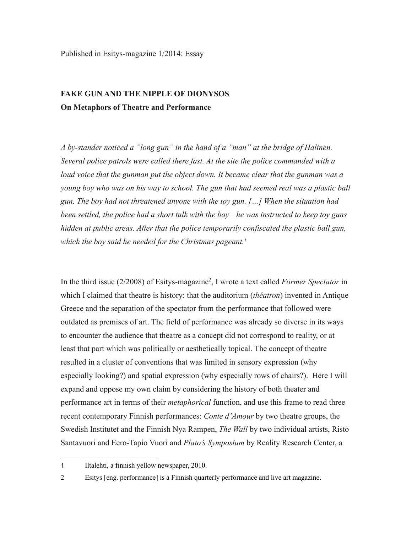## **FAKE GUN AND THE NIPPLE OF DIONYSOS On Metaphors of Theatre and Performance**

*A by-stander noticed a "long gun" in the hand of a "man" at the bridge of Halinen. Several police patrols were called there fast. At the site the police commanded with a loud voice that the gunman put the object down. It became clear that the gunman was a young boy who was on his way to school. The gun that had seemed real was a plastic ball gun. The boy had not threatened anyone with the toy gun. […] When the situation had been settled, the police had a short talk with the boy—he was instructed to keep toy guns hidden at public areas. After that the police temporarily confiscated the plastic ball gun, which the boy said he needed for the Christmas pageant.*<sup>1</sup>

In the third issue (2/2008) of Esitys-magazine2, I wrote a text called *Former Spectator* in which I claimed that theatre is history: that the auditorium (*théatron*) invented in Antique Greece and the separation of the spectator from the performance that followed were outdated as premises of art. The field of performance was already so diverse in its ways to encounter the audience that theatre as a concept did not correspond to reality, or at least that part which was politically or aesthetically topical. The concept of theatre resulted in a cluster of conventions that was limited in sensory expression (why especially looking?) and spatial expression (why especially rows of chairs?). Here I will expand and oppose my own claim by considering the history of both theater and performance art in terms of their *metaphorical* function, and use this frame to read three recent contemporary Finnish performances: *Conte d'Amour* by two theatre groups, the Swedish Institutet and the Finnish Nya Rampen, *The Wall* by two individual artists, Risto Santavuori and Eero-Tapio Vuori and *Plato's Symposium* by Reality Research Center, a

<sup>1</sup> Iltalehti, a finnish yellow newspaper, 2010.

<sup>2</sup> Esitys [eng. performance] is a Finnish quarterly performance and live art magazine.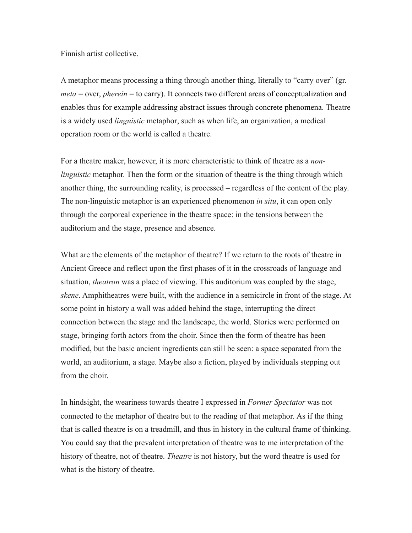## Finnish artist collective.

A metaphor means processing a thing through another thing, literally to "carry over" (gr. *meta* = over, *pherein* = to carry). It connects two different areas of conceptualization and enables thus for example addressing abstract issues through concrete phenomena. Theatre is a widely used *linguistic* metaphor, such as when life, an organization, a medical operation room or the world is called a theatre.

For a theatre maker, however, it is more characteristic to think of theatre as a *nonlinguistic* metaphor. Then the form or the situation of theatre is the thing through which another thing, the surrounding reality, is processed – regardless of the content of the play. The non-linguistic metaphor is an experienced phenomenon *in situ*, it can open only through the corporeal experience in the theatre space: in the tensions between the auditorium and the stage, presence and absence.

What are the elements of the metaphor of theatre? If we return to the roots of theatre in Ancient Greece and reflect upon the first phases of it in the crossroads of language and situation, *theatron* was a place of viewing. This auditorium was coupled by the stage, *skene*. Amphitheatres were built, with the audience in a semicircle in front of the stage. At some point in history a wall was added behind the stage, interrupting the direct connection between the stage and the landscape, the world. Stories were performed on stage, bringing forth actors from the choir. Since then the form of theatre has been modified, but the basic ancient ingredients can still be seen: a space separated from the world, an auditorium, a stage. Maybe also a fiction, played by individuals stepping out from the choir.

In hindsight, the weariness towards theatre I expressed in *Former Spectator* was not connected to the metaphor of theatre but to the reading of that metaphor. As if the thing that is called theatre is on a treadmill, and thus in history in the cultural frame of thinking. You could say that the prevalent interpretation of theatre was to me interpretation of the history of theatre, not of theatre. *Theatre* is not history, but the word theatre is used for what is the history of theatre.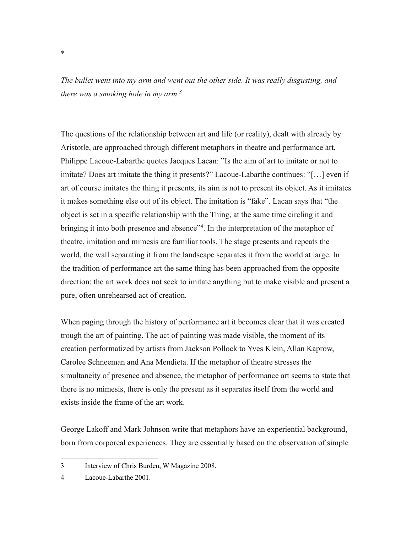*The bullet went into my arm and went out the other side. It was really disgusting, and there was a smoking hole in my arm.3*

The questions of the relationship between art and life (or reality), dealt with already by Aristotle, are approached through different metaphors in theatre and performance art, Philippe Lacoue-Labarthe quotes Jacques Lacan: "Is the aim of art to imitate or not to imitate? Does art imitate the thing it presents?" Lacoue-Labarthe continues: "[…] even if art of course imitates the thing it presents, its aim is not to present its object. As it imitates it makes something else out of its object. The imitation is "fake". Lacan says that "the object is set in a specific relationship with the Thing, at the same time circling it and bringing it into both presence and absence"<sup>4</sup>. In the interpretation of the metaphor of theatre, imitation and mimesis are familiar tools. The stage presents and repeats the world, the wall separating it from the landscape separates it from the world at large. In the tradition of performance art the same thing has been approached from the opposite direction: the art work does not seek to imitate anything but to make visible and present a pure, often unrehearsed act of creation.

When paging through the history of performance art it becomes clear that it was created trough the art of painting. The act of painting was made visible, the moment of its creation performatized by artists from Jackson Pollock to Yves Klein, Allan Kaprow, Carolee Schneeman and Ana Mendieta. If the metaphor of theatre stresses the simultaneity of presence and absence, the metaphor of performance art seems to state that there is no mimesis, there is only the present as it separates itself from the world and exists inside the frame of the art work.

George Lakoff and Mark Johnson write that metaphors have an experiential background, born from corporeal experiences. They are essentially based on the observation of simple

 

\*

<sup>3</sup> Interview of Chris Burden, W Magazine 2008.

<sup>4</sup> Lacoue-Labarthe 2001.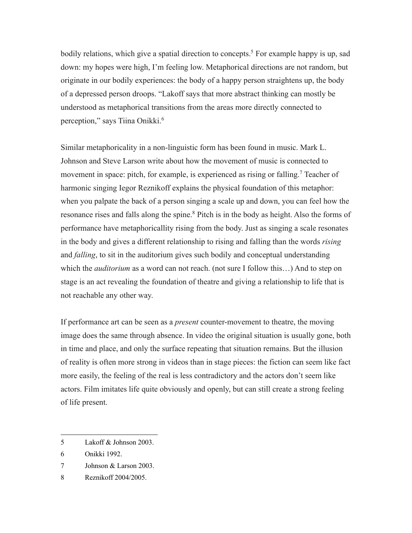bodily relations, which give a spatial direction to concepts.<sup>5</sup> For example happy is up, sad down: my hopes were high, I'm feeling low. Metaphorical directions are not random, but originate in our bodily experiences: the body of a happy person straightens up, the body of a depressed person droops. "Lakoff says that more abstract thinking can mostly be understood as metaphorical transitions from the areas more directly connected to perception," says Tiina Onikki.6

Similar metaphoricality in a non-linguistic form has been found in music. Mark L. Johnson and Steve Larson write about how the movement of music is connected to movement in space: pitch, for example, is experienced as rising or falling.<sup>7</sup> Teacher of harmonic singing Iegor Reznikoff explains the physical foundation of this metaphor: when you palpate the back of a person singing a scale up and down, you can feel how the resonance rises and falls along the spine.<sup>8</sup> Pitch is in the body as height. Also the forms of performance have metaphoricallity rising from the body. Just as singing a scale resonates in the body and gives a different relationship to rising and falling than the words *rising* and *falling*, to sit in the auditorium gives such bodily and conceptual understanding which the *auditorium* as a word can not reach. (not sure I follow this...) And to step on stage is an act revealing the foundation of theatre and giving a relationship to life that is not reachable any other way.

If performance art can be seen as a *present* counter-movement to theatre, the moving image does the same through absence. In video the original situation is usually gone, both in time and place, and only the surface repeating that situation remains. But the illusion of reality is often more strong in videos than in stage pieces: the fiction can seem like fact more easily, the feeling of the real is less contradictory and the actors don't seem like actors. Film imitates life quite obviously and openly, but can still create a strong feeling of life present.

 5 Lakoff & Johnson 2003.

<sup>6</sup> Onikki 1992.

<sup>7</sup> Johnson & Larson 2003.

<sup>8</sup> Reznikoff 2004/2005.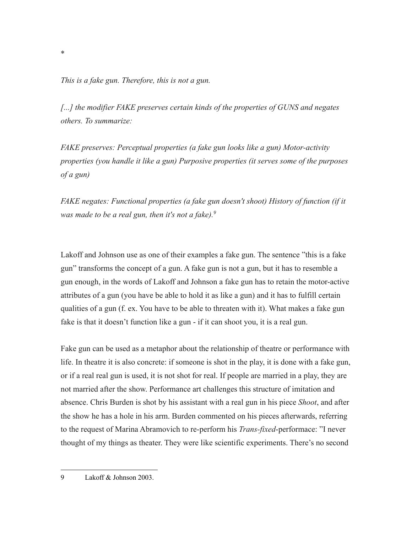*This is a fake gun. Therefore, this is not a gun.*

[...] the modifier FAKE preserves certain kinds of the properties of GUNS and negates *others. To summarize:*

*FAKE preserves: Perceptual properties (a fake gun looks like a gun) Motor-activity properties (you handle it like a gun) Purposive properties (it serves some of the purposes of a gun)*

*FAKE negates: Functional properties (a fake gun doesn't shoot) History of function (if it was made to be a real gun, then it's not a fake).9*

Lakoff and Johnson use as one of their examples a fake gun. The sentence "this is a fake gun" transforms the concept of a gun. A fake gun is not a gun, but it has to resemble a gun enough, in the words of Lakoff and Johnson a fake gun has to retain the motor-active attributes of a gun (you have be able to hold it as like a gun) and it has to fulfill certain qualities of a gun (f. ex. You have to be able to threaten with it). What makes a fake gun fake is that it doesn't function like a gun - if it can shoot you, it is a real gun.

Fake gun can be used as a metaphor about the relationship of theatre or performance with life. In theatre it is also concrete: if someone is shot in the play, it is done with a fake gun, or if a real real gun is used, it is not shot for real. If people are married in a play, they are not married after the show. Performance art challenges this structure of imitation and absence. Chris Burden is shot by his assistant with a real gun in his piece *Shoot*, and after the show he has a hole in his arm. Burden commented on his pieces afterwards, referring to the request of Marina Abramovich to re-perform his *Trans-fixed*-performace: "I never thought of my things as theater. They were like scientific experiments. There's no second

 9 Lakoff & Johnson 2003.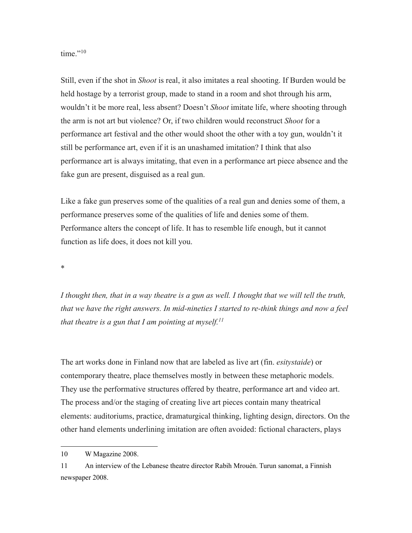time."<sup>10</sup>

Still, even if the shot in *Shoot* is real, it also imitates a real shooting. If Burden would be held hostage by a terrorist group, made to stand in a room and shot through his arm, wouldn't it be more real, less absent? Doesn't *Shoot* imitate life, where shooting through the arm is not art but violence? Or, if two children would reconstruct *Shoot* for a performance art festival and the other would shoot the other with a toy gun, wouldn't it still be performance art, even if it is an unashamed imitation? I think that also performance art is always imitating, that even in a performance art piece absence and the fake gun are present, disguised as a real gun.

Like a fake gun preserves some of the qualities of a real gun and denies some of them, a performance preserves some of the qualities of life and denies some of them. Performance alters the concept of life. It has to resemble life enough, but it cannot function as life does, it does not kill you.

\*

*I thought then, that in a way theatre is a gun as well. I thought that we will tell the truth, that we have the right answers. In mid-nineties I started to re-think things and now a feel that theatre is a gun that I am pointing at myself.11*

The art works done in Finland now that are labeled as live art (fin. *esitystaide*) or contemporary theatre, place themselves mostly in between these metaphoric models. They use the performative structures offered by theatre, performance art and video art. The process and/or the staging of creating live art pieces contain many theatrical elements: auditoriums, practice, dramaturgical thinking, lighting design, directors. On the other hand elements underlining imitation are often avoided: fictional characters, plays

<sup>10</sup> W Magazine 2008.

<sup>11</sup> An interview of the Lebanese theatre director Rabih Mrouén. Turun sanomat, a Finnish newspaper 2008.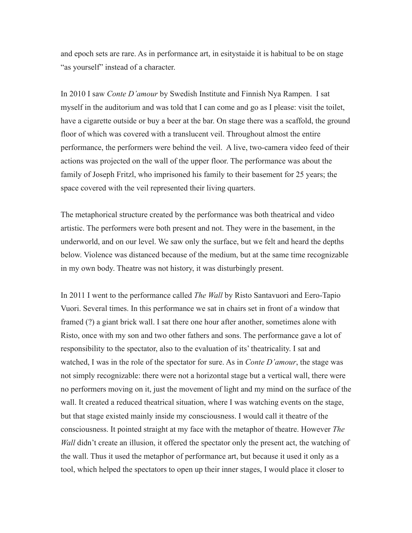and epoch sets are rare. As in performance art, in esitystaide it is habitual to be on stage "as yourself" instead of a character.

In 2010 I saw *Conte D'amour* by Swedish Institute and Finnish Nya Rampen. I sat myself in the auditorium and was told that I can come and go as I please: visit the toilet, have a cigarette outside or buy a beer at the bar. On stage there was a scaffold, the ground floor of which was covered with a translucent veil. Throughout almost the entire performance, the performers were behind the veil. A live, two-camera video feed of their actions was projected on the wall of the upper floor. The performance was about the family of Joseph Fritzl, who imprisoned his family to their basement for 25 years; the space covered with the veil represented their living quarters.

The metaphorical structure created by the performance was both theatrical and video artistic. The performers were both present and not. They were in the basement, in the underworld, and on our level. We saw only the surface, but we felt and heard the depths below. Violence was distanced because of the medium, but at the same time recognizable in my own body. Theatre was not history, it was disturbingly present.

In 2011 I went to the performance called *The Wall* by Risto Santavuori and Eero-Tapio Vuori. Several times. In this performance we sat in chairs set in front of a window that framed (?) a giant brick wall. I sat there one hour after another, sometimes alone with Risto, once with my son and two other fathers and sons. The performance gave a lot of responsibility to the spectator, also to the evaluation of its' theatricality. I sat and watched, I was in the role of the spectator for sure. As in *Conte D'amour*, the stage was not simply recognizable: there were not a horizontal stage but a vertical wall, there were no performers moving on it, just the movement of light and my mind on the surface of the wall. It created a reduced theatrical situation, where I was watching events on the stage, but that stage existed mainly inside my consciousness. I would call it theatre of the consciousness. It pointed straight at my face with the metaphor of theatre. However *The Wall* didn't create an illusion, it offered the spectator only the present act, the watching of the wall. Thus it used the metaphor of performance art, but because it used it only as a tool, which helped the spectators to open up their inner stages, I would place it closer to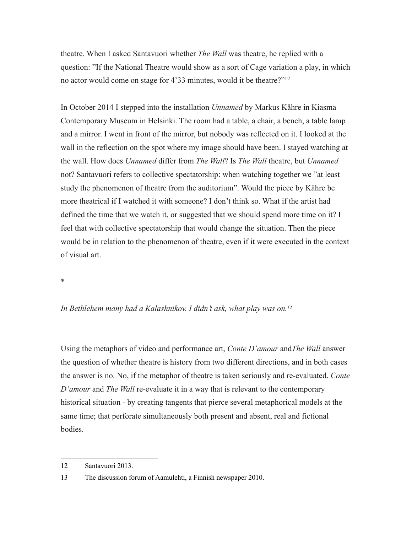theatre. When I asked Santavuori whether *The Wall* was theatre, he replied with a question: "If the National Theatre would show as a sort of Cage variation a play, in which no actor would come on stage for 4'33 minutes, would it be theatre?"12

In October 2014 I stepped into the installation *Unnamed* by Markus Kåhre in Kiasma Contemporary Museum in Helsinki. The room had a table, a chair, a bench, a table lamp and a mirror. I went in front of the mirror, but nobody was reflected on it. I looked at the wall in the reflection on the spot where my image should have been. I stayed watching at the wall. How does *Unnamed* differ from *The Wall*? Is *The Wall* theatre, but *Unnamed*  not? Santavuori refers to collective spectatorship: when watching together we "at least study the phenomenon of theatre from the auditorium". Would the piece by Kåhre be more theatrical if I watched it with someone? I don't think so. What if the artist had defined the time that we watch it, or suggested that we should spend more time on it? I feel that with collective spectatorship that would change the situation. Then the piece would be in relation to the phenomenon of theatre, even if it were executed in the context of visual art.

\*

## *In Bethlehem many had a Kalashnikov. I didn't ask, what play was on.13*

Using the metaphors of video and performance art, *Conte D'amour* and*The Wall* answer the question of whether theatre is history from two different directions, and in both cases the answer is no. No, if the metaphor of theatre is taken seriously and re-evaluated. *Conte D'amour* and *The Wall* re-evaluate it in a way that is relevant to the contemporary historical situation - by creating tangents that pierce several metaphorical models at the same time; that perforate simultaneously both present and absent, real and fictional bodies.

<sup>12</sup> Santavuori 2013.

<sup>13</sup> The discussion forum of Aamulehti, a Finnish newspaper 2010.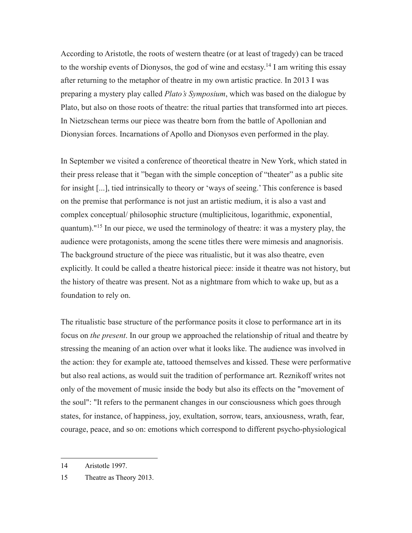According to Aristotle, the roots of western theatre (or at least of tragedy) can be traced to the worship events of Dionysos, the god of wine and ecstasy.<sup>14</sup> I am writing this essay after returning to the metaphor of theatre in my own artistic practice. In 2013 I was preparing a mystery play called *Plato's Symposium*, which was based on the dialogue by Plato, but also on those roots of theatre: the ritual parties that transformed into art pieces. In Nietzschean terms our piece was theatre born from the battle of Apollonian and Dionysian forces. Incarnations of Apollo and Dionysos even performed in the play.

In September we visited a conference of theoretical theatre in New York, which stated in their press release that it "began with the simple conception of "theater" as a public site for insight [...], tied intrinsically to theory or 'ways of seeing.' This conference is based on the premise that performance is not just an artistic medium, it is also a vast and complex conceptual/ philosophic structure (multiplicitous, logarithmic, exponential, quantum)."15 In our piece, we used the terminology of theatre: it was a mystery play, the audience were protagonists, among the scene titles there were mimesis and anagnorisis. The background structure of the piece was ritualistic, but it was also theatre, even explicitly. It could be called a theatre historical piece: inside it theatre was not history, but the history of theatre was present. Not as a nightmare from which to wake up, but as a foundation to rely on.

The ritualistic base structure of the performance posits it close to performance art in its focus on *the present*. In our group we approached the relationship of ritual and theatre by stressing the meaning of an action over what it looks like. The audience was involved in the action: they for example ate, tattooed themselves and kissed. These were performative but also real actions, as would suit the tradition of performance art. Reznikoff writes not only of the movement of music inside the body but also its effects on the "movement of the soul": "It refers to the permanent changes in our consciousness which goes through states, for instance, of happiness, joy, exultation, sorrow, tears, anxiousness, wrath, fear, courage, peace, and so on: emotions which correspond to different psycho-physiological

<sup>14</sup> Aristotle 1997.

<sup>15</sup> Theatre as Theory 2013.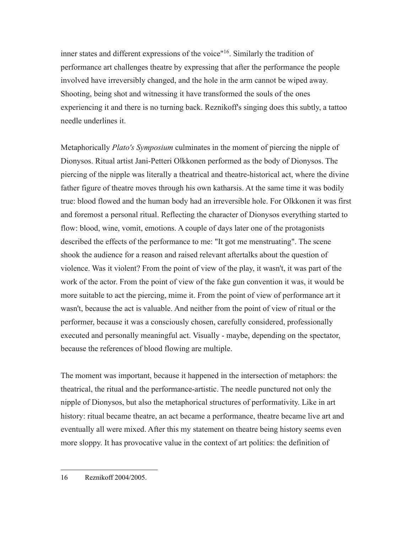inner states and different expressions of the voice"<sup>16</sup>. Similarly the tradition of performance art challenges theatre by expressing that after the performance the people involved have irreversibly changed, and the hole in the arm cannot be wiped away. Shooting, being shot and witnessing it have transformed the souls of the ones experiencing it and there is no turning back. Reznikoff's singing does this subtly, a tattoo needle underlines it.

Metaphorically *Plato's Symposium* culminates in the moment of piercing the nipple of Dionysos. Ritual artist Jani-Petteri Olkkonen performed as the body of Dionysos. The piercing of the nipple was literally a theatrical and theatre-historical act, where the divine father figure of theatre moves through his own katharsis. At the same time it was bodily true: blood flowed and the human body had an irreversible hole. For Olkkonen it was first and foremost a personal ritual. Reflecting the character of Dionysos everything started to flow: blood, wine, vomit, emotions. A couple of days later one of the protagonists described the effects of the performance to me: "It got me menstruating". The scene shook the audience for a reason and raised relevant aftertalks about the question of violence. Was it violent? From the point of view of the play, it wasn't, it was part of the work of the actor. From the point of view of the fake gun convention it was, it would be more suitable to act the piercing, mime it. From the point of view of performance art it wasn't, because the act is valuable. And neither from the point of view of ritual or the performer, because it was a consciously chosen, carefully considered, professionally executed and personally meaningful act. Visually - maybe, depending on the spectator, because the references of blood flowing are multiple.

The moment was important, because it happened in the intersection of metaphors: the theatrical, the ritual and the performance-artistic. The needle punctured not only the nipple of Dionysos, but also the metaphorical structures of performativity. Like in art history: ritual became theatre, an act became a performance, theatre became live art and eventually all were mixed. After this my statement on theatre being history seems even more sloppy. It has provocative value in the context of art politics: the definition of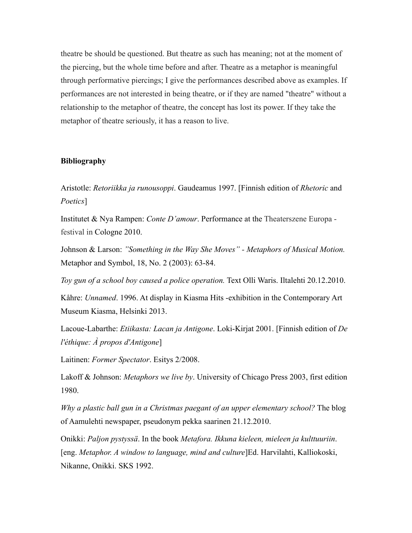theatre be should be questioned. But theatre as such has meaning; not at the moment of the piercing, but the whole time before and after. Theatre as a metaphor is meaningful through performative piercings; I give the performances described above as examples. If performances are not interested in being theatre, or if they are named "theatre" without a relationship to the metaphor of theatre, the concept has lost its power. If they take the metaphor of theatre seriously, it has a reason to live.

## **Bibliography**

Aristotle: *Retoriikka ja runousoppi*. Gaudeamus 1997. [Finnish edition of *Rhetoric* and *Poetics*]

Institutet & Nya Rampen: *Conte D'amour*. Performance at the Theaterszene Europa festival in Cologne 2010.

Johnson & Larson: *"Something in the Way She Moves" - Metaphors of Musical Motion.*  Metaphor and Symbol, 18, No. 2 (2003): 63-84.

*Toy gun of a school boy caused a police operation.* Text Olli Waris. Iltalehti 20.12.2010.

Kåhre: *Unnamed*. 1996. At display in Kiasma Hits -exhibition in the Contemporary Art Museum Kiasma, Helsinki 2013.

Lacoue-Labarthe: *Etiikasta: Lacan ja Antigone*. Loki-Kirjat 2001. [Finnish edition of *De l'éthique: À propos d'Antigone*]

Laitinen: *Former Spectator*. Esitys 2/2008.

Lakoff & Johnson: *Metaphors we live by*. University of Chicago Press 2003, first edition 1980.

*Why a plastic ball gun in a Christmas paegant of an upper elementary school?* The blog of Aamulehti newspaper, pseudonym pekka saarinen 21.12.2010.

Onikki: *Paljon pystyssä*. In the book *Metafora. Ikkuna kieleen, mieleen ja kulttuuriin*. [eng. *Metaphor. A window to language, mind and culture*]Ed. Harvilahti, Kalliokoski, Nikanne, Onikki. SKS 1992.